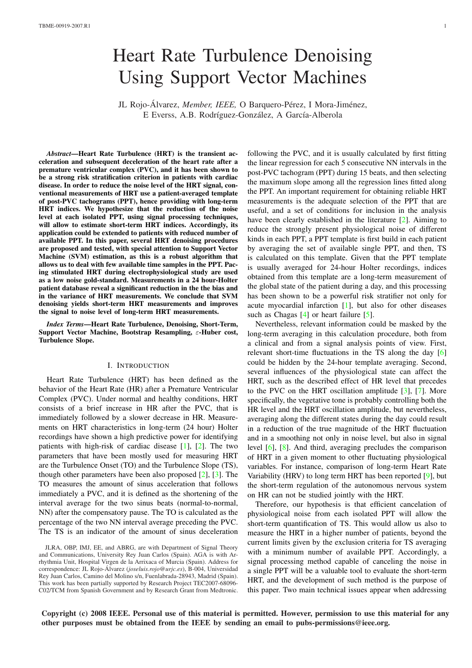# Heart Rate Turbulence Denoising Using Support Vector Machines

JL Rojo-Álvarez, *Member, IEEE,* O Barquero-Pérez, I Mora-Jiménez, E Everss, A.B. Rodríguez-González, A García-Alberola

*Abstract*—Heart Rate Turbulence (HRT) is the transient acceleration and subsequent deceleration of the heart rate after a premature ventricular complex (PVC), and it has been shown to be a strong risk stratification criterion in patients with cardiac disease. In order to reduce the noise level of the HRT signal, conventional measurements of HRT use a patient-averaged template of post-PVC tachograms (PPT), hence providing with long-term HRT indices. We hypothesize that the reduction of the noise level at each isolated PPT, using signal processing techniques, will allow to estimate short-term HRT indices. Accordingly, its application could be extended to patients with reduced number of available PPT. In this paper, several HRT denoising procedures are proposed and tested, with special attention to Support Vector Machine (SVM) estimation, as this is a robust algorithm that allows us to deal with few available time samples in the PPT. Pacing stimulated HRT during electrophysiological study are used as a low noise gold-standard. Measurements in a 24 hour-Holter patient database reveal a significant reduction in the the bias and in the variance of HRT measurements. We conclude that SVM denoising yields short-term HRT measurements and improves the signal to noise level of long-term HRT measurements.

*Index Terms*—Heart Rate Turbulence, Denoising, Short-Term, Support Vector Machine, Bootstrap Resampling, ε-Huber cost, Turbulence Slope.

#### I. INTRODUCTION

Heart Rate Turbulence (HRT) has been defined as the behavior of the Heart Rate (HR) after a Premature Ventricular Complex (PVC). Under normal and healthy conditions, HRT consists of a brief increase in HR after the PVC, that is immediately followed by a slower decrease in HR. Measurements on HRT characteristics in long-term (24 hour) Holter recordings have shown a high predictive power for identifying patients with high-risk of cardiac disease [1], [2]. The two parameters that have been mostly used for measuring HRT are the Turbulence Onset (TO) and the Turbulence Slope (TS), though other parameters have been also proposed  $[2]$ ,  $[3]$ . The TO measures the amount of sinus acceler[atio](#page-7-0)n [th](#page-7-1)at follows immediately a PVC, and it is defined as the shortening of the interval average for the two sinus beats (normal-to-normal, NN) after the compensatory pause. The TO is calc[ula](#page-7-1)te[d a](#page-7-2)s the percentage of the two NN interval average preceding the PVC. The TS is an indicator of the amount of sinus deceleration following the PVC, and it is usually calculated by first fitting the linear regression for each 5 consecutive NN intervals in the post-PVC tachogram (PPT) during 15 beats, and then selecting the maximum slope among all the regression lines fitted along the PPT. An important requirement for obtaining reliable HRT measurements is the adequate selection of the PPT that are useful, and a set of conditions for inclusion in the analysis have been clearly established in the literature [2]. Aiming to reduce the strongly present physiological noise of different kinds in each PPT, a PPT template is first build in each patient by averaging the set of available single PPT, and then, TS is calculated on this template. Given that the [P](#page-7-1)PT template is usually averaged for 24-hour Holter recordings, indices obtained from this template are a long-term measurement of the global state of the patient during a day, and this processing has been shown to be a powerful risk stratifier not only for acute myocardial infarction [1], but also for other diseases such as Chagas [4] or heart failure [5].

Nevertheless, relevant information could be masked by the long-term averaging in this calculation procedure, both from a clinical and from a signal [a](#page-7-0)nalysis points of view. First, relevant short-ti[me](#page-7-3) fluctuations in t[he](#page-7-4) TS along the day [6] could be hidden by the 24-hour template averaging. Second, several influences of the physiological state can affect the HRT, such as the described effect of HR level that precedes to the PVC on the HRT oscillation amplitude [3], [7]. M[ore](#page-7-5) specifically, the vegetative tone is probably controlling both the HR level and the HRT oscillation amplitude, but nevertheless, averaging along the different states during the day could result in a reduction of the true magnitude of the H[RT](#page-7-2) fl[uc](#page-8-0)tuation and in a smoothing not only in noise level, but also in signal level [6], [8]. And third, averaging precludes the comparison of HRT in a given moment to other fluctuating physiological variables. For instance, comparison of long-term Heart Rate Variability (HRV) to long term HRT has been reported [9], but the s[hor](#page-7-5)t-t[er](#page-8-1)m regulation of the autonomous nervous system on HR can not be studied jointly with the HRT.

Therefore, our hypothesis is that efficient cancelation of physiological noise from each isolated PPT will all[ow](#page-8-2) the short-term quantification of TS. This would allow us also to measure the HRT in a higher number of patients, beyond the current limits given by the exclusion criteria for TS averaging with a minimum number of available PPT. Accordingly, a signal processing method capable of canceling the noise in a single PPT will be a valuable tool to evaluate the short-term HRT, and the development of such method is the purpose of this paper. Two main technical issues appear when addressing

Copyright (c) 2008 IEEE. Personal use of this material is permitted. However, permission to use this material for any other purposes must be obtained from the IEEE by sending an email to pubs-permissions@ieee.org.

JLRA, OBP, IMJ, EE, and ABRG, are with Department of Signal Theory and Communications, University Rey Juan Carlos (Spain). AGA is with Arrhythmia Unit, Hospital Virgen de la Arrixaca of Murcia (Spain). Address for correspondence: JL Rojo-Álvarez (*joseluis.rojo@urjc.es*), B-004, Universidad Rey Juan Carlos, Camino del Molino s/n, Fuenlabrada-28943, Madrid (Spain). This work has been partially supported by Research Project TEC2007-68096- C02/TCM from Spanish Government and by Research Grant from Medtronic.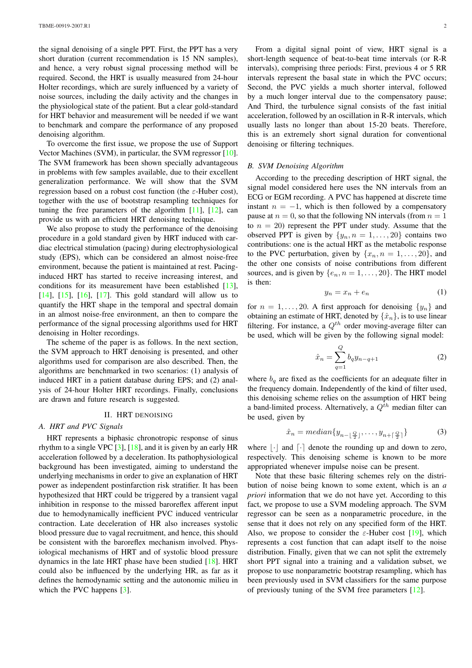the signal denoising of a single PPT. First, the PPT has a very short duration (current recommendation is 15 NN samples), and hence, a very robust signal processing method will be required. Second, the HRT is usually measured from 24-hour Holter recordings, which are surely influenced by a variety of noise sources, including the daily activity and the changes in the physiological state of the patient. But a clear gold-standard for HRT behavior and measurement will be needed if we want to benchmark and compare the performance of any proposed denoising algorithm.

To overcome the first issue, we propose the use of Support Vector Machines (SVM), in particular, the SVM regressor [10]. The SVM framework has been shown specially advantageous in problems with few samples available, due to their excellent generalization performance. We will show that the SVM regression based on a robust cost function (the  $\varepsilon$ -Huber c[ost\)](#page-8-3), together with the use of bootstrap resampling techniques for tuning the free parameters of the algorithm  $[11]$ ,  $[12]$ , can provide us with an efficient HRT denoising technique.

We also propose to study the performance of the denoising procedure in a gold standard given by HRT induced with cardiac electrical stimulation (pacing) during elect[roph](#page-8-4)y[siolo](#page-8-5)gical study (EPS), which can be considered an almost noise-free environment, because the patient is maintained at rest. Pacinginduced HRT has started to receive increasing interest, and conditions for its measurement have been established [13], [14], [15], [16], [17]. This gold standard will allow us to quantify the HRT shape in the temporal and spectral domain in an almost noise-free environment, an then to compare the performance of the signal processing algorithms used for [HRT](#page-8-6) [den](#page-8-7)ois[ing](#page-8-8) in [Ho](#page-8-9)lt[er re](#page-8-10)cordings.

The scheme of the paper is as follows. In the next section, the SVM approach to HRT denoising is presented, and other algorithms used for comparison are also described. Then, the algorithms are benchmarked in two scenarios: (1) analysis of induced HRT in a patient database during EPS; and (2) analysis of 24-hour Holter HRT recordings. Finally, conclusions are drawn and future research is suggested.

## II. HRT DENOISING

#### *A. HRT and PVC Signals*

HRT represents a biphasic chronotropic response of sinus rhythm to a single VPC  $[3]$ ,  $[18]$ , and it is given by an early HR acceleration followed by a deceleration. Its pathophysiological background has been investigated, aiming to understand the underlying mechanisms in order to give an explanation of HRT power as independent p[os](#page-7-2)ti[nfar](#page-8-11)ction risk stratifier. It has been hypothesized that HRT could be triggered by a transient vagal inhibition in response to the missed baroreflex afferent input due to hemodynamically inefficient PVC induced ventricular contraction. Late deceleration of HR also increases systolic blood pressure due to vagal recruitment, and hence, this should be consistent with the baroreflex mechanism involved. Physiological mechanisms of HRT and of systolic blood pressure dynamics in the late HRT phase have been studied [18]. HRT could also be influenced by the underlying HR, as far as it defines the hemodynamic setting and the autonomic milieu in which the PVC happens [3].

From a digital signal point of view, HRT signal is a short-length sequence of beat-to-beat time intervals (or R-R intervals), comprising three periods: First, previous 4 or 5 RR intervals represent the basal state in which the PVC occurs; Second, the PVC yields a much shorter interval, followed by a much longer interval due to the compensatory pause; And Third, the turbulence signal consists of the fast initial acceleration, followed by an oscillation in R-R intervals, which usually lasts no longer than about 15-20 beats. Therefore, this is an extremely short signal duration for conventional denoising or filtering techniques.

#### *B. SVM Denoising Algorithm*

According to the preceding description of HRT signal, the signal model considered here uses the NN intervals from an ECG or EGM recording. A PVC has happened at discrete time instant  $n = -1$ , which is then followed by a compensatory pause at  $n = 0$ , so that the following NN intervals (from  $n = 1$ ) to  $n = 20$ ) represent the PPT under study. Assume that the observed PPT is given by  $\{y_n, n = 1, \ldots, 20\}$  contains two contributions: one is the actual HRT as the metabolic response to the PVC perturbation, given by  $\{x_n, n = 1, \ldots, 20\}$ , and the other one consists of noise contributions from different sources, and is given by  $\{e_n, n = 1, \ldots, 20\}$ . The HRT model is then:

$$
y_n = x_n + e_n \tag{1}
$$

for  $n = 1, \ldots, 20$ . A first approach for denoising  $\{y_n\}$  and obtaining an estimate of HRT, denoted by  $\{\hat{x}_n\}$ , is to use linear filtering. For instance, a  $Q^{th}$  order moving-average filter can be used, which will be given by the following signal model:

$$
\hat{x}_n = \sum_{q=1}^{Q} b_q y_{n-q+1} \tag{2}
$$

where  $b_q$  are fixed as the coefficients for an adequate filter in the frequency domain. Independently of the kind of filter used, this denoising scheme relies on the assumption of HRT being a band-limited process. Alternatively, a  $Q^{\bar{t}h}$  median filter can be used, given by

$$
\hat{x}_n = \text{median}\{y_{n-\lfloor \frac{Q}{2} \rfloor}, \dots, y_{n+\lceil \frac{Q}{2} \rceil}\}\tag{3}
$$

where  $|\cdot|$  and  $\lceil \cdot \rceil$  denote the rounding up and down to zero, respectively. This denoising scheme is known to be more appropriated whenever impulse noise can be present.

Note that these basic filtering schemes rely on the distribution of noise being known to some extent, which is an *a priori* information that we do not have yet. According to this fact, we propose to use a SVM modeling approach. The SVM regressor can be seen as a nonparametric procedure, in the sense that it does not rely on any specified form of the HRT. Also, we propose to consider the  $\varepsilon$ -Huber cost [19], which represents a cost function that can adapt itself to the noise distribution. Finally, given that we can not split the extremely short PPT signal into a training and a validation subset, we propose to use nonparametric bootstrap resamplin[g, w](#page-8-12)hich has been previously used in SVM classifiers for the same purpose of previously tuning of the SVM free parameters [12].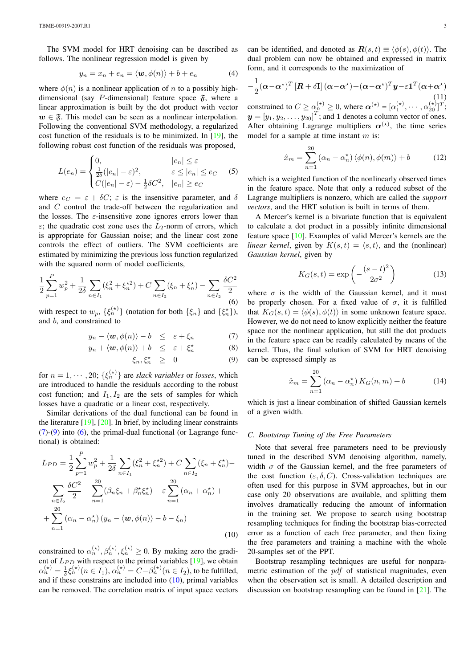The SVM model for HRT denoising can be described as follows. The nonlinear regression model is given by

$$
y_n = x_n + e_n = \langle \mathbf{w}, \phi(n) \rangle + b + e_n \tag{4}
$$

where  $\phi(n)$  is a nonlinear application of n to a possibly highdimensional (say P-dimensional) feature space  $\tilde{\mathfrak{F}}$ , where a linear approximation is built by the dot product with vector  $w \in \mathfrak{F}$ . This model can be seen as a nonlinear interpolation. Following the conventional SVM methodology, a regularized cost function of the residuals is to be minimized. In [19], the following robust cost function of the residuals was proposed,

$$
L(e_n) = \begin{cases} 0, & |e_n| \le \varepsilon \\ \frac{1}{2\delta}(|e_n| - \varepsilon)^2, & \varepsilon \le |e_n| \le e_C \\ C(|e_n| - \varepsilon) - \frac{1}{2}\delta C^2, & |e_n| \ge e_C \end{cases}
$$
 (5)

where  $e_C = \varepsilon + \delta C$ ;  $\varepsilon$  is the insensitive parameter, and  $\delta$ and C control the trade-off between the regularization and the losses. The  $\varepsilon$ -insensitive zone ignores errors lower than  $\varepsilon$ ; the quadratic cost zone uses the  $L_2$ -norm of errors, which is appropriate for Gaussian noise; and the linear cost zone controls the effect of outliers. The SVM coefficients are estimated by minimizing the previous loss function regularized with the squared norm of model coefficients,

$$
\frac{1}{2}\sum_{p=1}^{P} w_p^2 + \frac{1}{2\delta} \sum_{n \in I_1} (\xi_n^2 + \xi_n^{\star 2}) + C \sum_{n \in I_2} (\xi_n + \xi_n^{\star}) - \sum_{n \in I_2} \frac{\delta C^2}{2}
$$
(6)

with respect to  $w_p$ ,  $\{\xi_n^{(\star)}\}$  (notation for both  $\{\xi_n\}$  and  $\{\xi_n^{\star}\}\)$ , and b, and constrained to

$$
y_n - \langle \boldsymbol{w}, \phi(n) \rangle - b \leq \varepsilon + \xi_n \tag{7}
$$

$$
-y_n + \langle \boldsymbol{w}, \phi(n) \rangle + b \leq \varepsilon + \xi_n^{\star}
$$
 (8)

$$
\xi_n, \xi_n^* \geq 0 \tag{9}
$$

for  $n = 1, \dots, 20$ ;  $\{\xi_n^{(\star)}\}$  are *slack variables* or *losses*, which are introduced to handle the residuals according to the robust cost function; and  $I_1, I_2$  are the sets of samples for which losses have a quadratic or a linear cost, respectively.

Similar derivations of the dual functional can be found in the literature  $[19]$ ,  $[20]$ . In brief, by including linear constraints  $(7)-(9)$  into  $(6)$ , the primal-dual functional (or Lagrange functional) is obtained:

$$
L_{PD} = \frac{1}{2} \sum_{p=1}^{P} w_p^2 + \frac{1}{2\delta} \sum_{n \in I_1} (\xi_n^2 + \xi_n^2) + C \sum_{n \in I_2} (\xi_n + \xi_n^*) -
$$
  

$$
- \sum_{n \in I_2} \frac{\delta C^2}{2} - \sum_{n=1}^{20} (\beta_n \xi_n + \beta_n^* \xi_n^*) - \varepsilon \sum_{n=1}^{20} (\alpha_n + \alpha_n^*) +
$$
  

$$
+ \sum_{n=1}^{20} (\alpha_n - \alpha_n^*) (y_n - \langle \mathbf{w}, \phi(n) \rangle - b - \xi_n)
$$
(10)

constrained to  $\alpha_n^{(\star)}, \beta_n^{(\star)}, \xi_n^{(\star)} \ge 0$ . By making zero the gradient of  $L_{PD}$  with respect to the primal variables [19], we obtain  $\alpha_n^{(\star)} = \frac{1}{\delta} \xi_n^{(\star)} (n \in I_1), \alpha_n^{(\star)} = C - \beta_n^{(\star)} (n \in I_2)$ , to be fulfilled, and if these constrains are included into  $(10)$ , primal variables can be removed. The correlation matrix of input space vectors can be identified, and denoted as  $\mathbf{R}(s,t) \equiv \langle \phi(s), \phi(t) \rangle$ . The dual problem can now be obtained and expressed in matrix form, and it corresponds to the maximization of

$$
-\frac{1}{2}(\boldsymbol{\alpha}-\boldsymbol{\alpha}^{\star})^{T}\left[\boldsymbol{R}+\delta\mathbf{I}\right](\boldsymbol{\alpha}-\boldsymbol{\alpha}^{\star})+(\boldsymbol{\alpha}-\boldsymbol{\alpha}^{\star})^{T}\boldsymbol{y}-\varepsilon\mathbf{1}^{T}(\boldsymbol{\alpha}+\boldsymbol{\alpha}^{\star})
$$
\n(11)\n  
\n*constrained* (7)

constrained to  $C \ge \alpha_n^{(\star)} \ge 0$ , where  $\alpha^{(\star)} = [\alpha_1^{(\star)}, \cdots, \alpha_{20}^{(\star)}]^T$ ;  $y = [y_1, y_2, \dots, y_{20}]^T$ ; and 1 denotes a column vector of ones. After obtaining Lagrange multipliers  $\alpha^{(\star)}$ , the time series model for a sample at time instant  $m$  is:

$$
\hat{x}_m = \sum_{n=1}^{20} (\alpha_n - \alpha_n^*) \langle \phi(n), \phi(m) \rangle + b \tag{12}
$$

which is a weighted function of the nonlinearly observed times in the feature space. Note that only a reduced subset of the Lagrange multipliers is nonzero, which are called the *support vectors*, and the HRT solution is built in terms of them.

A Mercer's kernel is a bivariate function that is equivalent to calculate a dot product in a possibly infinite dimensional feature space [10]. Examples of valid Mercer's kernels are the *linear kernel*, given by  $K(s, t) = \langle s, t \rangle$ , and the (nonlinear) *Gaussian kernel*, given by

$$
K_G(s,t) = \exp\left(-\frac{(s-t)^2}{2\sigma^2}\right) \tag{13}
$$

<span id="page-2-0"></span>where  $\sigma$  is the width of the Gaussian kernel, and it must be properly chosen. For a fixed value of  $\sigma$ , it is fulfilled that  $K_G(s,t) = \langle \phi(s), \phi(t) \rangle$  in some unknown feature space. However, we do not need to know explicitly neither the feature space nor the nonlinear application, but still the dot products in the feature space can be readily calculated by means of the kernel. Thus, the final solution of SVM for HRT denoising can be expressed simply as

$$
\hat{x}_m = \sum_{n=1}^{20} (\alpha_n - \alpha_n^*) K_G(n, m) + b \tag{14}
$$

which is just a linear combination of shifted Gaussian kernels of a given width.

# *C. Bootstrap Tuning of the Free Parameters*

Note that several free parameters need to be previously tuned in the described SVM denoising algorithm, namely, width  $\sigma$  of the Gaussian kernel, and the free parameters of the cost function  $(\varepsilon, \delta, C)$ . Cross-validation techniques are often used for this purpose in SVM approaches, but in our case only 20 observations are available, and splitting them involves dramatically reducing the amount of information in the training set. We propose to search using bootstrap resampling techniques for finding the bootstrap bias-corrected error as a function of each free parameter, and then fixing the free parameters and training a machine with the whole 20-samples set of the PPT.

Bootstrap resampling techniques are useful for nonparametric estimation of the *pdf* of statistical magnitudes, even when the observation set is small. A detailed description and discussion on bootstrap resampling can be found in [21]. The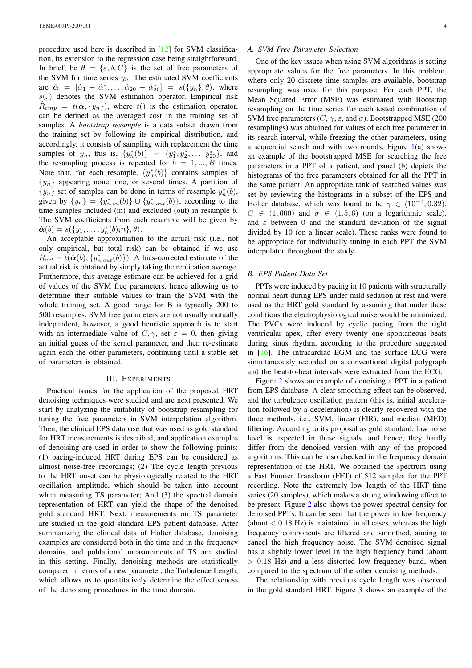procedure used here is described in [12] for SVM classification, its extension to the regression case being straightforward. In brief, be  $\theta = {\epsilon, \delta, C}$  is the set of free parameters of the SVM for time series  $y_n$ . The estimated SVM coefficients are  $\hat{\alpha} = [\hat{\alpha}_1 - \hat{\alpha}_1^*, \dots, \hat{\alpha}_{20} - \hat{\alpha}_{20}^*] = s({y_n}, \theta)$  $\hat{\alpha} = [\hat{\alpha}_1 - \hat{\alpha}_1^*, \dots, \hat{\alpha}_{20} - \hat{\alpha}_{20}^*] = s({y_n}, \theta)$  $\hat{\alpha} = [\hat{\alpha}_1 - \hat{\alpha}_1^*, \dots, \hat{\alpha}_{20} - \hat{\alpha}_{20}^*] = s({y_n}, \theta)$ , where  $s($ , denotes the SVM estimation operator. Empirical risk  $\hat{R}_{emp} = t(\hat{\boldsymbol{\alpha}}, \{y_n\})$ , where  $t()$  is the estimation operator, can be defined as the averaged cost in the training set of samples. A *bootstrap resample* is a data subset drawn from the training set by following its empirical distribution, and accordingly, it consists of sampling with replacement the time samples of  $y_n$ , this is,  $\{y_n^*(b)\} = \{y_1^*, y_2^*, \ldots, y_{20}^*\}$ , and the resampling process is repeated for  $b = 1, ..., B$  times. Note that, for each resample,  $\{y_n^*(b)\}$  contains samples of  $\{y_n\}$  appearing none, one, or several times. A partition of  $\{y_n\}$  set of samples can be done in terms of resample  $y_n^*(b)$ , given by  $\{y_n\} = \{y_{n,in}^*(b)\} \cup \{y_{n,out}^*(b)\}$ , according to the time samples included (in) and excluded (out) in resample b. The SVM coefficients from each resample will be given by  $\hat{\alpha}(b) = s({y_1, \ldots, y_n^*(b)_i n}, \theta).$ 

An acceptable approximation to the actual risk (i.e., not only empirical, but total risk) can be obtained if we use  $\hat{R}_{act} = t(\hat{\alpha}(b), \{y_{n,out}^*(b)\})$ . A bias-corrected estimate of the actual risk is obtained by simply taking the replication average. Furthermore, this average estimate can be achieved for a grid of values of the SVM free parameters, hence allowing us to determine their suitable values to train the SVM with the whole training set. A good range for B is typically 200 to 500 resamples. SVM free parameters are not usually mutually independent, however, a good heuristic approach is to start with an intermediate value of  $C, \gamma$ , set  $\varepsilon = 0$ , then giving an initial guess of the kernel parameter, and then re-estimate again each the other parameters, continuing until a stable set of parameters is obtained.

#### III. EXPERIMENTS

Practical issues for the application of the proposed HRT denoising techniques were studied and are next presented. We start by analyzing the suitability of bootstrap resampling for tuning the free parameters in SVM interpolation algorithm. Then, the clinical EPS database that was used as gold standard for HRT measurements is described, and application examples of denoising are used in order to show the following points: (1) pacing-induced HRT during EPS can be considered as almost noise-free recordings; (2) The cycle length previous to the HRT onset can be physiologically related to the HRT oscillation amplitude, which should be taken into account when measuring TS parameter; And (3) the spectral domain representation of HRT can yield the shape of the denoised gold standard HRT. Next, measurements on TS parameter are studied in the gold standard EPS patient database. After summarizing the clinical data of Holter database, denoising examples are considered both in the time and in the frequency domains, and poblational measurements of TS are studied in this setting. Finally, denoising methods are statistically compared in terms of a new parameter, the Turbulence Length, which allows us to quantitatively determine the effectiveness of the denoising procedures in the time domain.

## *A. SVM Free Parameter Selection*

One of the key issues when using SVM algorithms is setting appropriate values for the free parameters. In this problem, where only 20 discrete-time samples are available, bootstrap resampling was used for this purpose. For each PPT, the Mean Squared Error (MSE) was estimated with Bootstrap resampling on the time series for each tested combination of SVM free parameters  $(C, \gamma, \varepsilon, \text{ and } \sigma)$ . Bootstrapped MSE (200 resamplings) was obtained for values of each free parameter in its search interval, while freezing the other parameters, using a sequential search and with two rounds. Figure  $1(a)$  shows an example of the bootstrapped MSE for searching the free parameters in a PPT of a patient, and panel (b) depicts the histograms of the free parameters obtained for all the PPT in the same patient. An appropriate rank of searched [va](#page-4-0)lues was set by reviewing the histograms in a subset of the EPS and Holter database, which was found to be  $\gamma \in (10^{-3}, 0.32)$ ,  $C \in (1, 600)$  and  $\sigma \in (1.5, 6)$  (on a logarithmic scale), and  $\varepsilon$  between 0 and the standard deviation of the signal divided by 10 (on a linear scale). These ranks were found to be appropriate for individually tuning in each PPT the SVM interpolator throughout the study.

# *B. EPS Patient Data Set*

PPTs were induced by pacing in 10 patients with structurally normal heart during EPS under mild sedation at rest and were used as the HRT gold standard by assuming that under these conditions the electrophysiological noise would be minimized. The PVCs were induced by cyclic pacing from the right ventricular apex, after every twenty one spontaneous beats during sinus rhythm, according to the procedure suggested in [16]. The intracardiac EGM and the surface ECG were simultaneously recorded on a conventional digital polygraph and the beat-to-beat intervals were extracted from the ECG.

Figure 2 shows an example of denoising a PPT in a patient fro[m E](#page-8-9)PS database. A clear smoothing effect can be observed, and the turbulence oscillation pattern (this is, initial acceleration followed by a deceleration) is clearly recovered with the three me[tho](#page-4-1)ds, i.e., SVM, linear (FIR), and median (MED) filtering. According to its proposal as gold standard, low noise level is expected in these signals, and hence, they hardly differ from the denoised version with any of the proposed algorithms. This can be also checked in the frequency domain representation of the HRT. We obtained the spectrum using a Fast Fourier Transform (FFT) of 512 samples for the PPT recording. Note the extremely low length of the HRT time series (20 samples), which makes a strong windowing effect to be present. Figure 2 also shows the power spectral density for denoised PPTs. It can be seen that the power in low frequency (about  $< 0.18$  Hz) is maintained in all cases, whereas the high frequency components are filtered and smoothed, aiming to cancel the high f[req](#page-4-1)uency noise. The SVM denoised signal has a slightly lower level in the high frequency band (about  $> 0.18$  Hz) and a less distorted low frequency band, when compared to the spectrum of the other denoising methods.

The relationship with previous cycle length was observed in the gold standard HRT. Figure 3 shows an example of the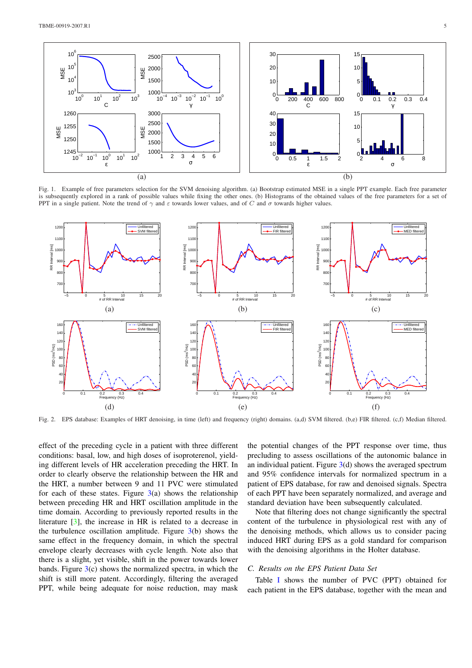

Fig. 1. Example of free parameters selection for the SVM denoising algorithm. (a) Bootstrap estimated MSE in a single PPT example. Each free parameter is subsequently explored in a rank of possible values while fixing the other ones. (b) Histograms of the obtained values of the free parameters for a set of PPT in a single patient. Note the trend of  $\gamma$  and  $\varepsilon$  towards lower values, and of C and  $\sigma$  towards higher values.

<span id="page-4-0"></span>

Fig. 2. EPS database: Examples of HRT denoising, in time (left) and frequency (right) domains. (a,d) SVM filtered. (b,e) FIR filtered. (c,f) Median filtered.

<span id="page-4-1"></span>effect of the preceding cycle in a patient with three different conditions: basal, low, and high doses of isoproterenol, yielding different levels of HR acceleration preceding the HRT. In order to clearly observe the relationship between the HR and the HRT, a number between 9 and 11 PVC were stimulated for each of these states. Figure  $3(a)$  shows the relationship between preceding HR and HRT oscillation amplitude in the time domain. According to previously reported results in the literature [3], the increase in HR is related to a decrease in the turbulence oscillation amplit[ud](#page-5-0)e. Figure  $3(b)$  shows the same effect in the frequency domain, in which the spectral envelope clearly decreases with cycle length. Note also that there is a [sli](#page-7-2)ght, yet visible, shift in the power towards lower bands. Figure  $3(c)$  shows the normalized spec[tra](#page-5-0), in which the shift is still more patent. Accordingly, filtering the averaged PPT, while being adequate for noise reduction, may mask the potential changes of the PPT response over time, thus precluding to assess oscillations of the autonomic balance in an individual patient. Figure  $3(d)$  shows the averaged spectrum and 95% confidence intervals for normalized spectrum in a patient of EPS database, for raw and denoised signals. Spectra of each PPT have been separately normalized, and average and standard deviation have bee[n](#page-5-0) subsequently calculated.

Note that filtering does not change significantly the spectral content of the turbulence in physiological rest with any of the denoising methods, which allows us to consider pacing induced HRT during EPS as a gold standard for comparison with the denoising algorithms in the Holter database.

# *C. Results on the EPS Patient Data Set*

Table I shows the number of PVC (PPT) obtained for each patient in the EPS database, together with the mean and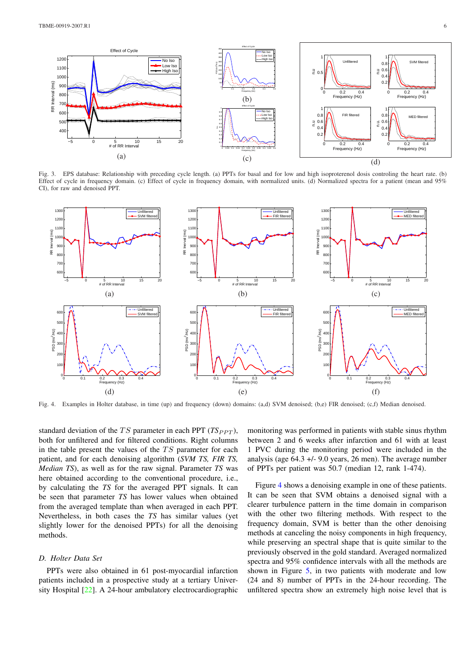

Fig. 3. EPS database: Relationship with preceding cycle length. (a) PPTs for basal and for low and high isoproterenol dosis controling the heart rate. (b) Effect of cycle in frequency domain. (c) Effect of cycle in frequency domain, with normalized units. (d) Normalized spectra for a patient (mean and 95% CI), for raw and denoised PPT.

<span id="page-5-0"></span>

Fig. 4. Examples in Holter database, in time (up) and frequency (down) domains: (a,d) SVM denoised; (b,e) FIR denoised; (c,f) Median denoised.

<span id="page-5-1"></span>standard deviation of the TS parameter in each PPT  $(TS_{PPT})$ , both for unfiltered and for filtered conditions. Right columns in the table present the values of the  $TS$  parameter for each patient, and for each denoising algorithm (*SVM TS, FIR TS, Median TS*), as well as for the raw signal. Parameter *TS* was here obtained according to the conventional procedure, i.e., by calculating the *TS* for the averaged PPT signals. It can be seen that parameter *TS* has lower values when obtained from the averaged template than when averaged in each PPT. Nevertheless, in both cases the *TS* has similar values (yet slightly lower for the denoised PPTs) for all the denoising methods.

## *D. Holter Data Set*

PPTs were also obtained in 61 post-myocardial infarction patients included in a prospective study at a tertiary University Hospital [22]. A 24-hour ambulatory electrocardiographic monitoring was performed in patients with stable sinus rhythm between 2 and 6 weeks after infarction and 61 with at least 1 PVC during the monitoring period were included in the analysis (age 64.3 +/- 9.0 years, 26 men). The average number of PPTs per patient was 50.7 (median 12, rank 1-474).

Figure 4 shows a denoising example in one of these patients. It can be seen that SVM obtains a denoised signal with a clearer turbulence pattern in the time domain in comparison with the other two filtering methods. With respect to the frequenc[y](#page-5-1) domain, SVM is better than the other denoising methods at canceling the noisy components in high frequency, while preserving an spectral shape that is quite similar to the previously observed in the gold standard. Averaged normalized spectra and 95% confidence intervals with all the methods are shown in Figure 5, in two patients with moderate and low (24 and 8) number of PPTs in the 24-hour recording. The unfiltered spectra show an extremely high noise level that is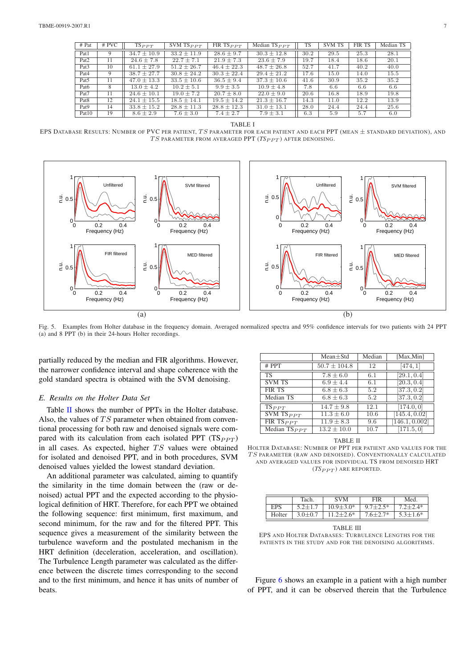| $#$ Pat           | # PVC | $TS_{PPT}$      | SVM $TS_{PPT}$  | FIR $TS_{PPT}$  | Median $TS_{PPT}$ | <b>TS</b> | <b>SVM TS</b> | <b>FIR TS</b> | Median TS |
|-------------------|-------|-----------------|-----------------|-----------------|-------------------|-----------|---------------|---------------|-----------|
| Pat1              |       | $34.7 \pm 10.9$ | $33.2 \pm 11.9$ | $28.6 \pm 9.7$  | $30.3 \pm 12.8$   | 30.2      | 29.5          | 25.3          | 28.1      |
| Pat <sub>2</sub>  |       | $24.6 \pm 7.8$  | $22.7 \pm 7.1$  | $21.9 \pm 7.3$  | $23.6 \pm 7.9$    | 19.7      | 18.4          | 18.6          | 20.1      |
| Pat <sub>3</sub>  | 10    | $61.1 \pm 27.9$ | $51.2 \pm 26.7$ | $46.4 \pm 22.3$ | $48.7 \pm 26.8$   | 52.7      | 41.7          | 40.2          | 40.0      |
| Pat <sub>4</sub>  | 9     | $38.7 \pm 27.7$ | $30.8 \pm 24.2$ | $30.3 \pm 22.4$ | $29.4 \pm 21.2$   | 17.6      | 15.0          | 14.0          | 15.5      |
| Pat <sub>5</sub>  | 11    | $47.0 \pm 13.3$ | $33.5 \pm 10.6$ | $36.5 \pm 9.4$  | $37.3 \pm 10.6$   | 41.6      | 30.9          | 35.2          | 35.2      |
| Pat <sub>6</sub>  | 8     | $13.0 \pm 4.2$  | $10.2 \pm 5.1$  | $9.9 \pm 3.5$   | $10.9 \pm 4.8$    | 7.8       | 6.6           | 6.6           | 6.6       |
| Pat <sub>7</sub>  | 11    | $24.6 \pm 10.1$ | $19.0 \pm 7.2$  | $20.7 \pm 8.0$  | $22.0 \pm 9.0$    | 20.6      | 16.8          | 18.9          | 19.8      |
| Pat <sub>8</sub>  | 12    | $24.1 \pm 15.5$ | $18.5 \pm 14.1$ | $19.5 \pm 14.2$ | $21.3 \pm 16.7$   | 14.3      | 11.0          | 12.2          | 13.9      |
| Pat <sub>9</sub>  | 14    | $33.8 \pm 15.2$ | $28.8 \pm 11.3$ | $28.8 \pm 12.3$ | $31.0 \pm 13.1$   | 28.0      | 24.4          | 24.4          | 25.6      |
| Pat <sub>10</sub> | 19    | $8.6 \pm 2.9$   | $7.6 \pm 3.0$   | $7.4 \pm 2.7$   | $7.9 \pm 3.1$     | 6.3       | 5.9           | 5.7           | 6.0       |

TABLE I

EPS DATABASE RESULTS: NUMBER OF PVC PER PATIENT,  $TS$  parameter for each patient and each PPT (MEAN  $\pm$  standard deviation), and  $TS$  PARAMETER FROM AVERAGED PPT  $(TS_{PPT})$  AFTER DENOISING.



Fig. 5. Examples from Holter database in the frequency domain. Averaged normalized spectra and 95% confidence intervals for two patients with 24 PPT (a) and 8 PPT (b) in their 24-hours Holter recordings.

partially reduced by the median and FIR algorithms. However, the narrower confidence interval and shape coherence with the gold standard spectra is obtained with the SVM denoising.

# *E. Results on the Holter Data Set*

Table II shows the number of PPTs in the Holter database. Also, the values of  $TS$  parameter when obtained from conventional processing for both raw and denoised signals were compared with its calculation from each isolated PPT  $(TS_{PPT})$ in all c[ase](#page-6-0)s. As expected, higher  $TS$  values were obtained for isolated and denoised PPT, and in both procedures, SVM denoised values yielded the lowest standard deviation.

An additional parameter was calculated, aiming to quantify the similarity in the time domain between the (raw or denoised) actual PPT and the expected according to the physiological definition of HRT. Therefore, for each PPT we obtained the following sequence: first minimum, first maximum, and second minimum, for the raw and for the filtered PPT. This sequence gives a measurement of the similarity between the turbulence waveform and the postulated mechanism in the HRT definition (deceleration, acceleration, and oscillation). The Turbulence Length parameter was calculated as the difference between the discrete times corresponding to the second and to the first minimum, and hence it has units of number of beats.

|                    | $Mean \pm Std$   | Median | [Max,Min]      |
|--------------------|------------------|--------|----------------|
| $#$ PPT            | $50.7 \pm 104.8$ | 12     | [474, 1]       |
| <b>TS</b>          | $7.8 \pm 6.0$    | 6.1    | [29.1, 0.4]    |
| <b>SVM TS</b>      | $6.9 \pm 4.4$    | 6.1    | [20.3, 0.4]    |
| <b>FIR TS</b>      | $6.8 \pm 6.3$    | 5.2    | [37.3, 0.2]    |
| Median TS          | $6.8 \pm 6.3$    | 5.2    | [37.3, 0.2]    |
| $TS_{PPT}$         | $14.7 \pm 9.8$   | 12.1   | [174.0, 0]     |
| SVM $TS_{PPT}$     | $11.3 \pm 6.0$   | 10.6   | [145.4, 0.02]  |
| FIR $TS_{PPT}$     | $11.9 \pm 8.3$   | 9.6    | [146.1, 0.002] |
| Median TS $_{PPT}$ | $13.2 \pm 10.0$  | 10.7   | [171.5, 0]     |

TABLE II

HOLTER DATABASE: NUMBER OF PPT PER PATIENT AND VALUES FOR THE  $TS$  PARAMETER (RAW AND DENOISED). CONVENTIONALLY CALCULATED AND AVERAGED VALUES FOR INDIVIDUAL TS FROM DENOISED HRT  $(TSp_{PT})$  ARE REPORTED.

<span id="page-6-0"></span>

| EPS<br>$10.9 + 3.0*$<br>$9.7 + 2.5*$<br>$5.2 + 1.7$    |                 |
|--------------------------------------------------------|-----------------|
|                                                        | $72+24*$        |
| $7.6 + 2.7*$<br>$3.0 + 0.7$<br>Holter<br>$11.2 + 2.6*$ | $5.3 \pm 1.6^*$ |

TABLE III

EPS AND HOLTER DATABASES: TURBULENCE LENGTHS FOR THE PATIENTS IN THE STUDY AND FOR THE DENOISING ALGORITHMS.

Figure 6 shows an example in a patient with a high number of PPT, and it can be observed therein that the Turbulence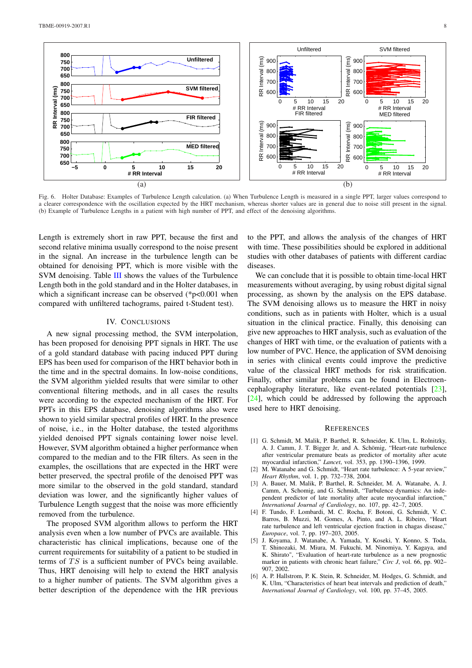

Fig. 6. Holter Database: Examples of Turbulence Length calculation. (a) When Turbulence Length is measured in a single PPT, larger values correspond to a clearer correspondence with the oscillation expected by the HRT mechanism, whereas shorter values are in general due to noise still present in the signal. (b) Example of Turbulence Lengths in a patient with high number of PPT, and effect of the denoising algorithms.

Length is extremely short in raw PPT, because the first and second relative minima usually correspond to the noise present in the signal. An increase in the turbulence length can be obtained for denoising PPT, which is more visible with the SVM denoising. Table III shows the values of the Turbulence Length both in the gold standard and in the Holter databases, in which a significant increase can be observed (\*p<0.001 when compared with unfiltered tachograms, paired t-Student test).

## IV. CONCLUSIONS

A new signal processing method, the SVM interpolation, has been proposed for denoising PPT signals in HRT. The use of a gold standard database with pacing induced PPT during EPS has been used for comparison of the HRT behavior both in the time and in the spectral domains. In low-noise conditions, the SVM algorithm yielded results that were similar to other conventional filtering methods, and in all cases the results were according to the expected mechanism of the HRT. For PPTs in this EPS database, denoising algorithms also were shown to yield similar spectral profiles of HRT. In the presence of noise, i.e., in the Holter database, the tested algorithms yielded denoised PPT signals containing lower noise level. However, SVM algorithm obtained a higher performance when compared to the median and to the FIR filters. As seen in the examples, the oscillations that are expected in the HRT were better preserved, the spectral profile of the denoised PPT was more similar to the observed in the gold standard, standard deviation was lower, and the significantly higher values of Turbulence Length suggest that the noise was more efficiently removed from the turbulence.

The proposed SVM algorithm allows to perform the HRT analysis even when a low number of PVCs are available. This characteristic has clinical implications, because one of the current requirements for suitability of a patient to be studied in terms of  $TS$  is a sufficient number of PVCs being available. Thus, HRT denoising will help to extend the HRT analysis to a higher number of patients. The SVM algorithm gives a better description of the dependence with the HR previous to the PPT, and allows the analysis of the changes of HRT with time. These possibilities should be explored in additional studies with other databases of patients with different cardiac diseases.

We can conclude that it is possible to obtain time-local HRT measurements without averaging, by using robust digital signal processing, as shown by the analysis on the EPS database. The SVM denoising allows us to measure the HRT in noisy conditions, such as in patients with Holter, which is a usual situation in the clinical practice. Finally, this denoising can give new approaches to HRT analysis, such as evaluation of the changes of HRT with time, or the evaluation of patients with a low number of PVC. Hence, the application of SVM denoising in series with clinical events could improve the predictive value of the classical HRT methods for risk stratification. Finally, other similar problems can be found in Electroencephalography literature, like event-related potentials [23],  $[24]$ , which could be addressed by following the approach used here to HRT denoising.

#### **REFERENCES**

- [\[1\]](#page-8-14) G. Schmidt, M. Malik, P. Barthel, R. Schneider, K. Ulm, L. Rolnitzky, A. J. Camm, J. T. Bigger Jr, and A. Schömig, "Heart-rate turbulence after ventricular premature beats as predictor of mortality after acute myocardial infarction," *Lancet*, vol. 353, pp. 1390–1396, 1999.
- [2] M. Watanabe and G. Schmidt, "Heart rate turbulence: A 5-year review," *Heart Rhythm*, vol. 1, pp. 732–738, 2004.
- <span id="page-7-0"></span>[3] A. Bauer, M. Malik, P. Barthel, R. Schneider, M. A. Watanabe, A. J. Camm, A. Schomig, and G. Schmidt, "Turbulence dynamics: An independent predictor of late mortality after acute myocardial infarction," *International Journal of Cardiology*, no. 107, pp. 42–7, 2005.
- <span id="page-7-2"></span><span id="page-7-1"></span>[4] F. Tundo, F. Lombardi, M. C. Rocha, F. Botoni, G. Schmidt, V. C. Barros, B. Muzzi, M. Gomes, A. Pinto, and A. L. Ribeiro, "Heart rate turbulence and left ventricular ejection fraction in chagas disease," *Europace*, vol. 7, pp. 197–203, 2005.
- <span id="page-7-3"></span>[5] J. Koyama, J. Watanabe, A. Yamada, Y. Koseki, Y. Konno, S. Toda, T. Shinozaki, M. Miura, M. Fukuchi, M. Ninomiya, Y. Kagaya, and K. Shirato", "Evaluation of heart-rate turbulence as a new prognostic marker in patients with chronic heart failure," *Circ J*, vol. 66, pp. 902– 907, 2002.
- <span id="page-7-5"></span><span id="page-7-4"></span>[6] A. P. Hallstrom, P. K. Stein, R. Schneider, M. Hodges, G. Schmidt, and K. Ulm, "Characteristics of heart beat intervals and prediction of death," *International Journal of Cardiology*, vol. 100, pp. 37–45, 2005.